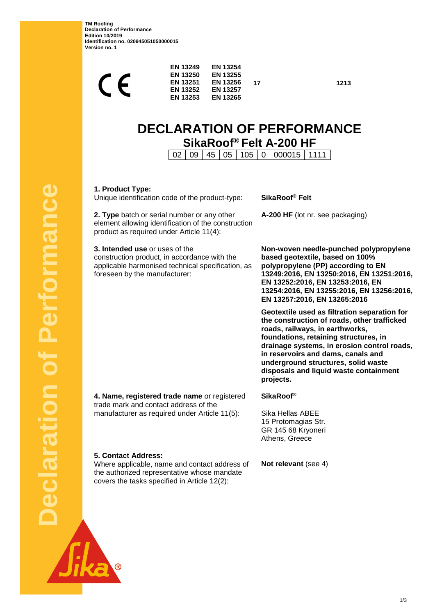**TM Roofing Declaration of Performance Edition 10/2019 Identification no. 020945051050000015 Version no. 1** 

| <b>EN 13249</b><br><b>EN 13250</b><br><b>EN 13251</b> | <b>EN 13254</b><br><b>EN 13255</b><br><b>EN 13256</b> | 17 |
|-------------------------------------------------------|-------------------------------------------------------|----|
| <b>EN 13252</b><br><b>EN 13253</b>                    | <b>EN 13257</b><br><b>EN 13265</b>                    |    |
|                                                       |                                                       |    |

**17 1213**

# **DECLARATION OF PERFORMANCE SikaRoof® Felt A-200 HF**

02 09 45 05 105 0 000015 1111

**1. Product Type:**

**5. Contact Address:**

Unique identification code of the product-type: **SikaRoof® Felt**

**2. Type** batch or serial number or any other element allowing identification of the construction product as required under Article 11(4):

**3. Intended use** or uses of the construction product, in accordance with the applicable harmonised technical specification, as foreseen by the manufacturer:

**A-200 HF** (lot nr. see packaging)

**Non-woven needle-punched polypropylene based geotextile, based on 100% polypropylene (PP) according to EN 13249:2016, EN 13250:2016, EN 13251:2016, EN 13252:2016, EN 13253:2016, EN 13254:2016, EN 13255:2016, EN 13256:2016, EN 13257:2016, EN 13265:2016**

**Geotextile used as filtration separation for the construction of roads, other trafficked roads, railways, in earthworks, foundations, retaining structures, in drainage systems, in erosion control roads, in reservoirs and dams, canals and underground structures, solid waste disposals and liquid waste containment projects.**

**4. Name, registered trade name** or registered trade mark and contact address of the manufacturer as required under Article 11(5):

the authorized representative whose mandate covers the tasks specified in Article 12(2):

**SikaRoof®**

Sika Hellas ABEE 15 Protomagias Str. GR 145 68 Kryoneri Athens, Greece

Where applicable, name and contact address of **Not relevant** (see 4)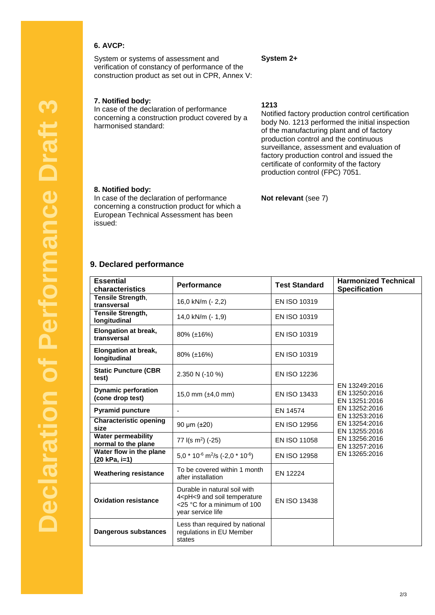## **6. AVCP:**

System or systems of assessment and verification of constancy of performance of the construction product as set out in CPR, Annex V:

### **7. Notified body:**

In case of the declaration of performance concerning a construction product covered by a harmonised standard:

**1213**

**System 2+**

Notified factory production control certification body No. 1213 performed the initial inspection of the manufacturing plant and of factory production control and the continuous surveillance, assessment and evaluation of factory production control and issued the certificate of conformity of the factory production control (FPC) 7051.

#### **8. Notified body:**

In case of the declaration of performance concerning a construction product for which a European Technical Assessment has been issued:

### **Not relevant** (see 7)

#### **9. Declared performance**

| <b>Essential</b><br>characteristics              | Performance                                                                                                                          | <b>Test Standard</b> | <b>Harmonized Technical</b><br><b>Specification</b>                                                                 |
|--------------------------------------------------|--------------------------------------------------------------------------------------------------------------------------------------|----------------------|---------------------------------------------------------------------------------------------------------------------|
| Tensile Strength,<br>transversal                 | 16,0 kN/m (- 2,2)                                                                                                                    | EN ISO 10319         | EN 13249:2016<br>EN 13250:2016<br>EN 13251:2016<br>EN 13252:2016<br>EN 13253:2016<br>EN 13254:2016<br>EN 13255:2016 |
| Tensile Strength,<br>longitudinal                | 14,0 kN/m (- 1,9)                                                                                                                    | EN ISO 10319         |                                                                                                                     |
| <b>Elongation at break,</b><br>transversal       | 80% (±16%)                                                                                                                           | EN ISO 10319         |                                                                                                                     |
| Elongation at break,<br>longitudinal             | 80% (±16%)                                                                                                                           | EN ISO 10319         |                                                                                                                     |
| <b>Static Puncture (CBR</b><br>test)             | 2.350 N (-10 %)                                                                                                                      | <b>EN ISO 12236</b>  |                                                                                                                     |
| <b>Dynamic perforation</b><br>(cone drop test)   | 15,0 mm $(\pm 4, 0 \text{ mm})$                                                                                                      | <b>EN ISO 13433</b>  |                                                                                                                     |
| <b>Pyramid puncture</b>                          |                                                                                                                                      | EN 14574             |                                                                                                                     |
| <b>Characteristic opening</b><br>size            | 90 $\mu$ m ( $\pm$ 20)                                                                                                               | EN ISO 12956         |                                                                                                                     |
| <b>Water permeability</b><br>normal to the plane | 77 I(s m <sup>2</sup> ) (-25)                                                                                                        | EN ISO 11058         | EN 13256:2016<br>EN 13257:2016                                                                                      |
| Water flow in the plane<br>(20 kPa, i=1)         | $5.0 * 10^{-6}$ m <sup>2</sup> /s (-2,0 * 10 <sup>-6</sup> )                                                                         | EN ISO 12958         | EN 13265:2016                                                                                                       |
| <b>Weathering resistance</b>                     | To be covered within 1 month<br>after installation                                                                                   | EN 12224             |                                                                                                                     |
| <b>Oxidation resistance</b>                      | Durable in natural soil with<br>4 <ph<9 and="" soil="" temperature<br="">&lt;25 °C for a minimum of 100<br/>year service life</ph<9> | EN ISO 13438         |                                                                                                                     |
| Dangerous substances                             | Less than required by national<br>regulations in EU Member<br>states                                                                 |                      |                                                                                                                     |